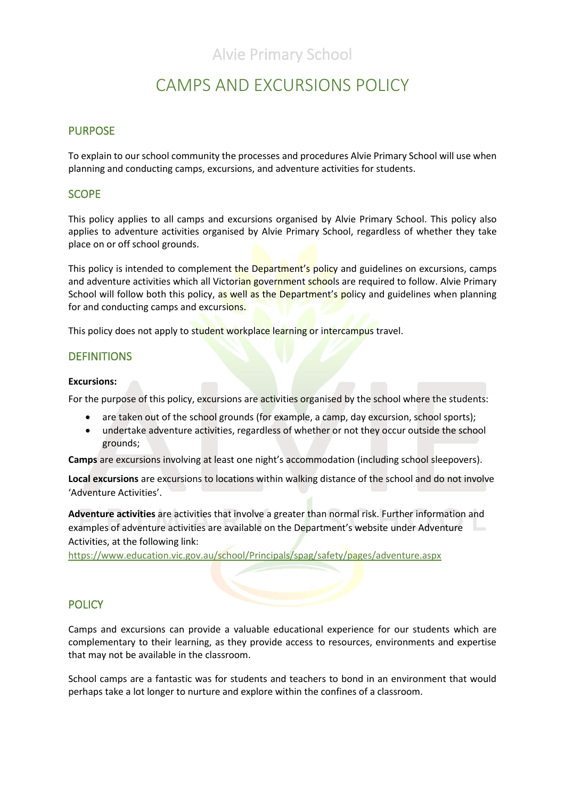# CAMPS AND EXCURSIONS POLICY

### PURPOSE

To explain to our school community the processes and procedures Alvie Primary School will use when planning and conducting camps, excursions, and adventure activities for students.

### **SCOPE**

This policy applies to all camps and excursions organised by Alvie Primary School. This policy also applies to adventure activities organised by Alvie Primary School, regardless of whether they take place on or off school grounds.

This policy is intended to complement the Department's policy and guidelines on excursions, camps and adventure activities which all Victorian government schools are required to follow. Alvie Primary School will follow both this policy, as well as the Department's policy and guidelines when planning for and conducting camps and excursions.

This policy does not apply to student workplace learning or intercampus travel.

### **DEFINITIONS**

#### **Excursions:**

For the purpose of this policy, excursions are activities organised by the school where the students:

- are taken out of the school grounds (for example, a camp, day excursion, school sports);
- undertake adventure activities, regardless of whether or not they occur outside the school grounds;

**Camps** are excursions involving at least one night's accommodation (including school sleepovers).

**Local excursions** are excursions to locations within walking distance of the school and do not involve 'Adventure Activities'.

**Adventure activities** are activities that involve a greater than normal risk. Further information and examples of adventure activities are available on the Department's website under Adventure Activities, at the following link:

[https://www.education.vic.gov.au/school/Principals/spag/safety/pages/adventure.aspx](https://www.education.vic.gov.au/school/principals/spag/safety/pages/adventure.aspx)

### **POLICY**

Camps and excursions can provide a valuable educational experience for our students which are complementary to their learning, as they provide access to resources, environments and expertise that may not be available in the classroom.

School camps are a fantastic was for students and teachers to bond in an environment that would perhaps take a lot longer to nurture and explore within the confines of a classroom.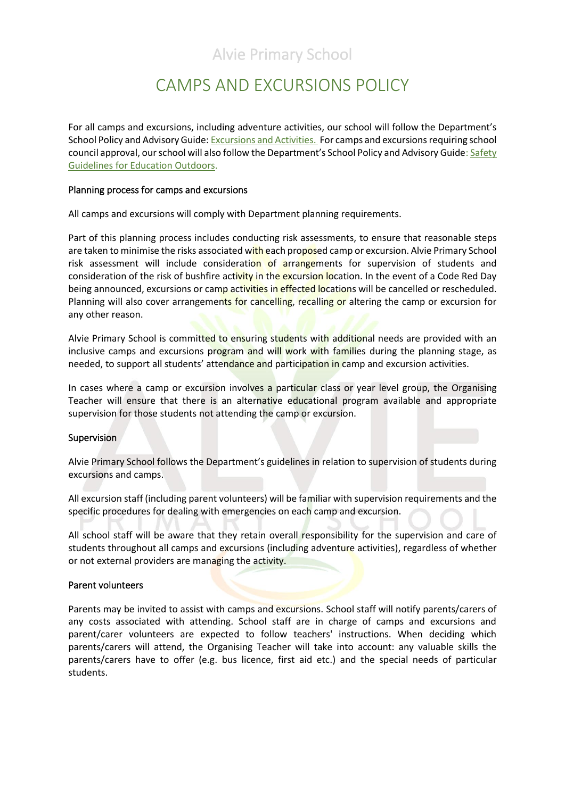# CAMPS AND EXCURSIONS POLICY

For all camps and excursions, including adventure activities, our school will follow the Department's School Policy and Advisory Guide[: Excursions and Activities.](http://www.education.vic.gov.au/school/principals/spag/safety/pages/excursions.aspx) For camps and excursions requiring school council approval, our school will also follow the Department's School Policy and Advisory Guide[: Safety](https://www.education.vic.gov.au/school/teachers/studentmanagement/excursions/Pages/outdoorguidelines.aspx)  [Guidelines for Education Outdoors.](https://www.education.vic.gov.au/school/teachers/studentmanagement/excursions/Pages/outdoorguidelines.aspx)

#### Planning process for camps and excursions

All camps and excursions will comply with Department planning requirements.

Part of this planning process includes conducting risk assessments, to ensure that reasonable steps are taken to minimise the risks associated with each proposed camp or excursion. Alvie Primary School risk assessment will include consideration of arrangements for supervision of students and consideration of the risk of bushfire activity in the excursion location. In the event of a Code Red Day being announced, excursions or camp activities in effected locations will be cancelled or rescheduled. Planning will also cover arrangements for cancelling, recalling or altering the camp or excursion for any other reason.

Alvie Primary School is committed to ensuring students with additional needs are provided with an inclusive camps and excursions program and will work with families during the planning stage, as needed, to support all students' attendance and participation in camp and excursion activities.

In cases where a camp or excursion involves a particular class or year level group, the Organising Teacher will ensure that there is an alternative educational program available and appropriate supervision for those students not attending the camp or excursion.

#### **Supervision**

Alvie Primary School follows the Department's guidelines in relation to supervision of students during excursions and camps.

All excursion staff (including parent volunteers) will be familiar with supervision requirements and the specific procedures for dealing with emergencies on each camp and excursion.

All school staff will be aware that they retain overall responsibility for the supervision and care of students throughout all camps and excursions (including adventure activities), regardless of whether or not external providers are managing the activity.

#### Parent volunteers

Parents may be invited to assist with camps and excursions. School staff will notify parents/carers of any costs associated with attending. School staff are in charge of camps and excursions and parent/carer volunteers are expected to follow teachers' instructions. When deciding which parents/carers will attend, the Organising Teacher will take into account: any valuable skills the parents/carers have to offer (e.g. bus licence, first aid etc.) and the special needs of particular students.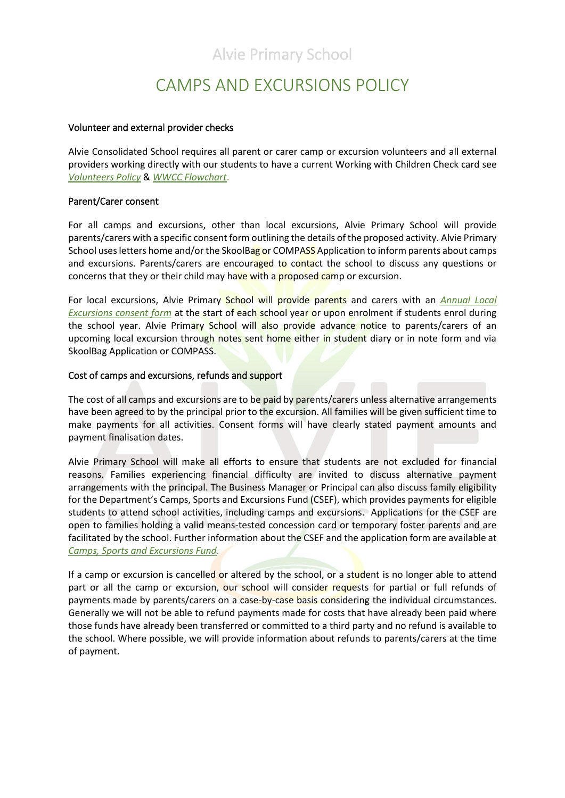# CAMPS AND EXCURSIONS POLICY

#### Volunteer and external provider checks

Alvie Consolidated School requires all parent or carer camp or excursion volunteers and all external providers working directly with our students to have a current Working with Children Check card see *[Volunteers Policy](file://///6201AFS01/Users/POLICIES/To%20be%20updated/Volunteers%20Policy%202019.pdf)* & *[WWCC Flowchart](file://///6201AFS01/Users/POLICIES/To%20be%20updated/Volunteers_WWCCflowchart.pdf)*.

#### Parent/Carer consent

For all camps and excursions, other than local excursions, Alvie Primary School will provide parents/carers with a specific consent form outlining the details of the proposed activity. Alvie Primary School uses letters home and/or the SkoolBag or COMPASS Application to inform parents about camps and excursions. Parents/carers are encouraged to contact the school to discuss any questions or concerns that they or their child may have with a proposed camp or excursion.

For local excursions, Alvie Primary School will provide parents and carers with an *Annual Local Excursions consent form* at the start of each school year or upon enrolment if students enrol during the school year. Alvie Primary School will also provide advance notice to parents/carers of an upcoming local excursion through notes sent home either in student diary or in note form and via SkoolBag Application or COMPASS.

#### Cost of camps and excursions, refunds and support

The cost of all camps and excursions are to be paid by parents/carers unless alternative arrangements have been agreed to by the principal prior to the excursion. All families will be given sufficient time to make payments for all activities. Consent forms will have clearly stated payment amounts and payment finalisation dates.

Alvie Primary School will make all efforts to ensure that students are not excluded for financial reasons. Families experiencing financial difficulty are invited to discuss alternative payment arrangements with the principal. The Business Manager or Principal can also discuss family eligibility for the Department's Camps, Sports and Excursions Fund (CSEF), which provides payments for eligible students to attend school activities, including camps and excursions. Applications for the CSEF are open to families holding a valid means-tested concession card or temporary foster parents and are facilitated by the school. Further information about the CSEF and the application form are available at *[Camps, Sports and Excursions Fund](http://www.education.vic.gov.au/about/programs/Pages/csef.aspx)*.

If a camp or excursion is cancelled or altered by the school, or a student is no longer able to attend part or all the camp or excursion, our school will consider requests for partial or full refunds of payments made by parents/carers on a case-by-case basis considering the individual circumstances. Generally we will not be able to refund payments made for costs that have already been paid where those funds have already been transferred or committed to a third party and no refund is available to the school. Where possible, we will provide information about refunds to parents/carers at the time of payment.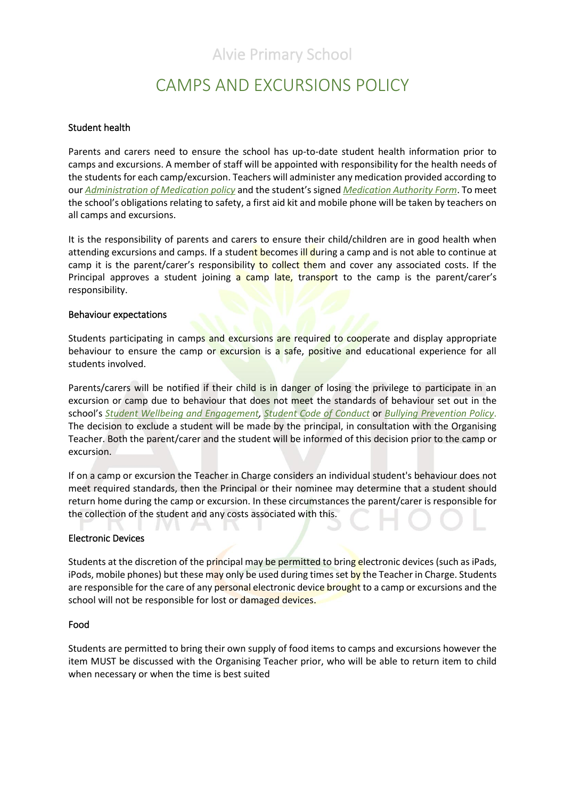# CAMPS AND EXCURSIONS POLICY

#### Student health

Parents and carers need to ensure the school has up-to-date student health information prior to camps and excursions. A member of staff will be appointed with responsibility for the health needs of the students for each camp/excursion. Teachers will administer any medication provided according to our *[Administration of Medication policy](file://///6201AFS01/Users/POLICIES/To%20be%20updated/Administration%20of%20Medication%20Policy%202019.pdf)* and the student's signed *[Medication Authority Form](file://///6201AFS01/Users/POLICIES/To%20be%20updated/Medication%20Authority%20Form.pdf)*. To meet the school's obligations relating to safety, a first aid kit and mobile phone will be taken by teachers on all camps and excursions.

It is the responsibility of parents and carers to ensure their child/children are in good health when attending excursions and camps. If a student becomes ill during a camp and is not able to continue at camp it is the parent/carer's responsibility to collect them and cover any associated costs. If the Principal approves a student joining a camp late, transport to the camp is the parent/carer's responsibility.

#### Behaviour expectations

Students participating in camps and excursions are required to cooperate and display appropriate behaviour to ensure the camp or excursion is a safe, positive and educational experience for all students involved.

Parents/carers will be notified if their child is in danger of losing the privilege to participate in an excursion or camp due to behaviour that does not meet the standards of behaviour set out in the school's *[Student Wellbeing and Engagement,](file://///6201AFS01/Users/POLICIES/CHILD%20SAFETY/STUDENT%20WELLBEING%20AND%20ENGAGEMENT/Student%20Wellbeing%20and%20Engagement%20-%20Policy%20Template%20-%20February%202018.docx) [Student Code of Conduct](file://///6201AFS01/Users/POLICIES/CHILD%20SAFETY/Child%20Safe%20-%202%20Nov%202018/Child%20Safe%20Policy%20-%20Endorsed%20November%202018.docx)* or *[Bullying Prevention Policy](file://///6201AFS01/Users/POLICIES/CHILD%20SAFETY/BULLYING/Bullying%20Prevention%20-%20Policy%20Template%20-%201%20May%202019.docx)*. The decision to exclude a student will be made by the principal, in consultation with the Organising Teacher. Both the parent/carer and the student will be informed of this decision prior to the camp or excursion.

If on a camp or excursion the Teacher in Charge considers an individual student's behaviour does not meet required standards, then the Principal or their nominee may determine that a student should return home during the camp or excursion. In these circumstances the parent/carer is responsible for the collection of the student and any costs associated with this.

#### Electronic Devices

V L

Students at the discretion of the principal may be permitted to bring electronic devices (such as iPads, iPods, mobile phones) but these may only be used during times set by the Teacher in Charge. Students are responsible for the care of any personal electronic device brought to a camp or excursions and the school will not be responsible for lost or damaged devices.

#### Food

Students are permitted to bring their own supply of food items to camps and excursions however the item MUST be discussed with the Organising Teacher prior, who will be able to return item to child when necessary or when the time is best suited